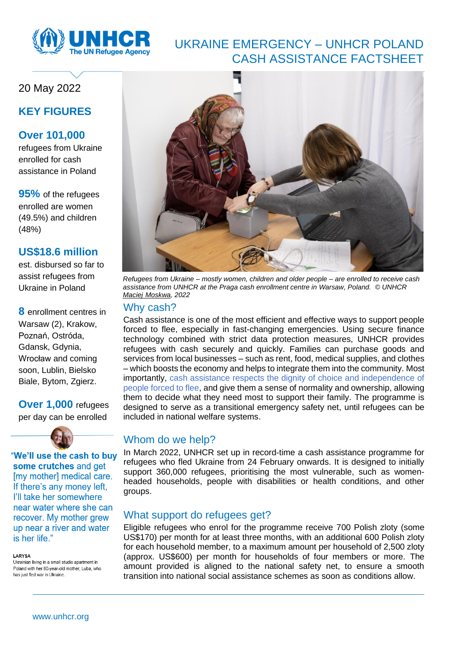

# UKRAINE EMERGENCY – UNHCR POLAND CASH ASSISTANCE FACTSHEET

# 20 May 2022

## **KEY FIGURES**

## **Over 101,000**

refugees from Ukraine enrolled for cash assistance in Poland

**95%** of the refugees enrolled are women (49.5%) and children (48%)

### **US\$18.6 million**

est. disbursed so far to assist refugees from Ukraine in Poland

**8** enrollment centres in Warsaw (2), Krakow, Poznań, Ostróda, Gdansk, Gdynia, Wrocław and coming soon, Lublin, Bielsko Biale, Bytom, Zgierz.

**Over 1,000** refugees per day can be enrolled



"We'll use the cash to buy some crutches and get [my mother] medical care. If there's any money left. I'll take her somewhere near water where she can recover. My mother grew up near a river and water is her life."

#### LARYSA

Ukrainian living in a small studio apartment in Poland with her 80-year-old mother. Luba, who has just fled war in Ukraine.



*Refugees from Ukraine – mostly women, children and older people – are enrolled to receive cash assistance from UNHCR at the Praga cash enrollment centre in Warsaw, Poland. © UNHCR Maciej [Moskwa,](https://media.unhcr.org/C.aspx?VP3=DamView&KW_RID=2CZ9JXNZK_L) 2022*

#### Why cash?

Cash assistance is one of the most efficient and effective ways to support people forced to flee, especially in fast-changing emergencies. Using secure finance technology combined with strict data protection measures, UNHCR provides refugees with cash securely and quickly. Families can purchase goods and services from local businesses – such as rent, food, medical supplies, and clothes – which boosts the economy and helps to integrate them into the community. Most importantly, cash assistance respects the dignity of choice and independence of people forced to flee, and give them a sense of normality and ownership, allowing them to decide what they need most to support their family. The programme is designed to serve as a transitional emergency safety net, until refugees can be included in national welfare systems.

### Whom do we help?

In March 2022, UNHCR set up in record-time a cash assistance programme for refugees who fled Ukraine from 24 February onwards. It is designed to initially support 360,000 refugees, prioritising the most vulnerable, such as womenheaded households, people with disabilities or health conditions, and other groups.

### What support do refugees get?

Eligible refugees who enrol for the programme receive 700 Polish zloty (some US\$170) per month for at least three months, with an additional 600 Polish zloty for each household member, to a maximum amount per household of 2,500 zloty (approx. US\$600) per month for households of four members or more. The amount provided is aligned to the national safety net, to ensure a smooth transition into national social assistance schemes as soon as conditions allow.